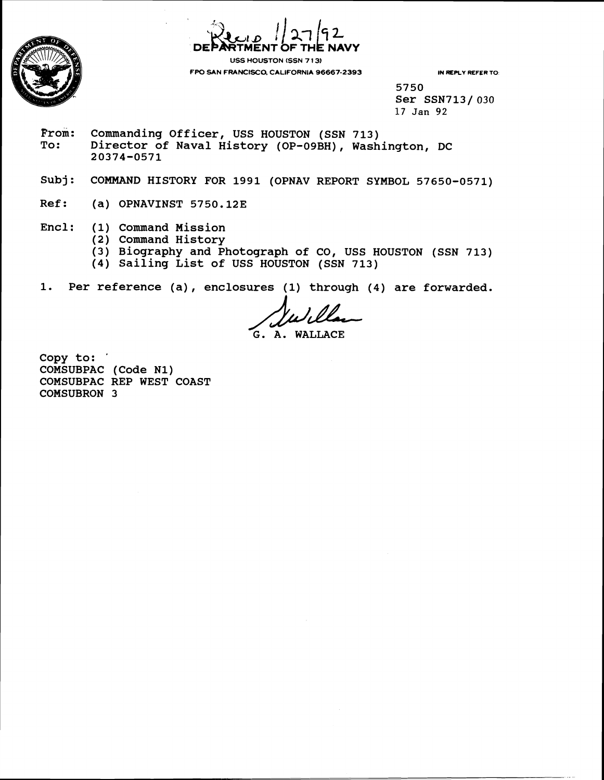



**FPO SAN FRANCISCO, CALIFORNIA 96667-2393 IN REPLY REFER TO** 

**5750 Ser SSN713/ 030 17 Jan 92** 

- From: Commanding Officer, USS HOUSTON (SSN 713)<br>To: Director of Naval History (OP-09BH), Wash **To: Director of Naval History (OP-09BH), Washington, DC 20374-0571**
- Subj: COMMAND HISTORY FOR 1991 (OPNAV REPORT SYMBOL 57650-0571)
- Ref: (a) OPNAVINST 5750.12E
- Encl: (1) Command Mission
	- **(2) Command History** 
		- **(3) Biography and Photograph of CO, USS HOUSTON (SSN 713)**
		- **(4) Sailing List of USS HOUSTON (SSN 713)**
- **1.** Per reference (a), enclosures (1) through (4) are forwarded.

bed a compared to the USTON (SSN 713)<br>
B HOUSTON (SSN 713)<br>
Universe (1) through (4) are fort<br> **G. A. WALLACE** 

**Copy to:** ' **COMSUBPAC (Code N1) COMSUBPAC REP WEST COAST COMSUBRON 3**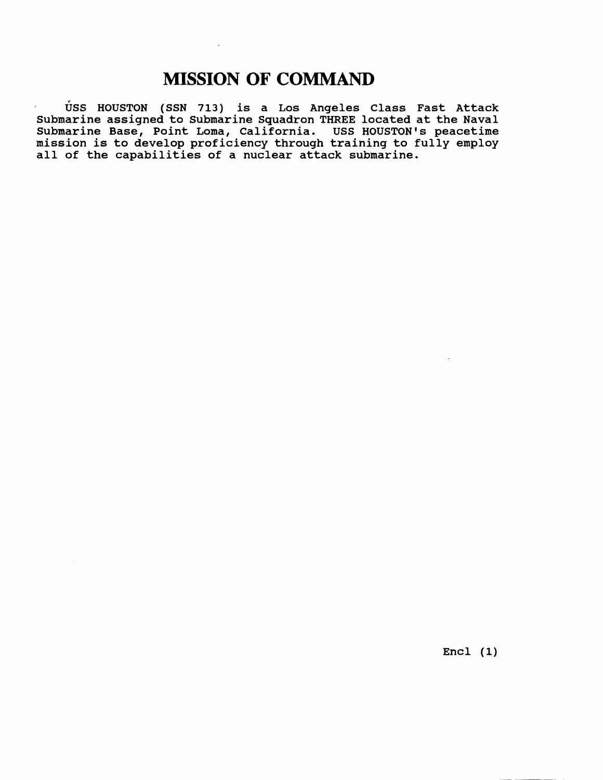# **MISSION OF COMMAND**

 $\ddot{\phantom{a}}$ 

**uss HOUSTON (SSN 713) is a Los Angeles Class Fast Attack Submarine assigned to Submarine Squadron THREE located at the Naval Submarine Base, Point Loma, California. USS HOUSTON'S peacetime mission is to develop proficiency through training to fully employ all of the capabilities of a nuclear attack submarine.** 

**Encl (1)**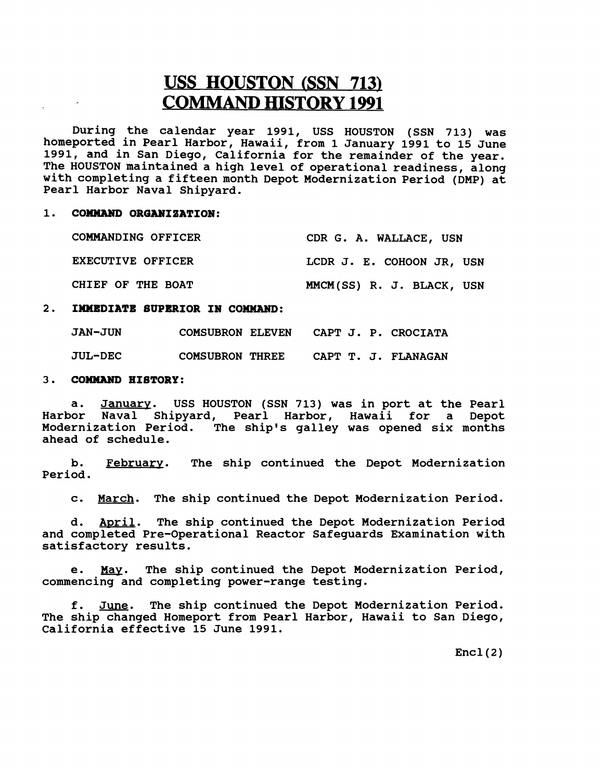# **USS HOUSTON (SSN 713) COMMAND HISTORY 1991**

**During the calendar year 1991, USS HOUSTON (SSN 713) was**  homeported in Pearl Harbor, Hawaii, from 1 January 1991 to 15 June **1991, and in San Diego, California for the remainder of the year. The HOUSTON maintained a high level of operational readiness, along with completing a fifteen month Depot Modernization Period (DMP) at Pearl Harbor Naval Shipyard.** 

#### 1. COMMAND ORGANIZATION:

| COMMANDING OFFICER | CDR G. A. WALLACE, USN    |  |  |  |  |
|--------------------|---------------------------|--|--|--|--|
| EXECUTIVE OFFICER  | LCDR J. E. COHOON JR, USN |  |  |  |  |
| CHIEF OF THE BOAT  | MMCM(SS) R. J. BLACK, USN |  |  |  |  |

## **2. IMMEDIATE SUPERIOR IN COMMAND:**

| <b>JAN-JUN</b> | <b>COMSUBRON ELEVEN</b> |  |  | CAPT J. P. CROCIATA |
|----------------|-------------------------|--|--|---------------------|
| <b>JUL-DEC</b> | <b>COMSUBRON THREE</b>  |  |  | CAPT T. J. FLANAGAN |

### **<sup>3</sup>**. **COMMAMD HISTORY** :

**a. January. USS HOUSTON (SSN 713) was in port at the Pearl Harbor Naval Shipyard, Pearl Harbor, Hawaii for a Depot Modernization Period. The ship's galley was opened six months ahead of schedule.** 

**b. February. The ship continued the Depot Modernization Period.** 

**c. March. The ship continued the Depot Modernization Period.** 

**d. April. The ship continued the Depot Modernization Period and completed Pre-Operational Reactor Safeguards Examination with satisfactory results.** 

**e.** *m.* **The ship continued the Depot Modernization Period, commencing and completing power-range testing.** 

**f. June. The ship continued the Depot Modernization Period. The ship changed Homeport from Pearl Harbor, Hawaii to San Diego,**  California effective 15 June 1991.

 $Encl(2)$